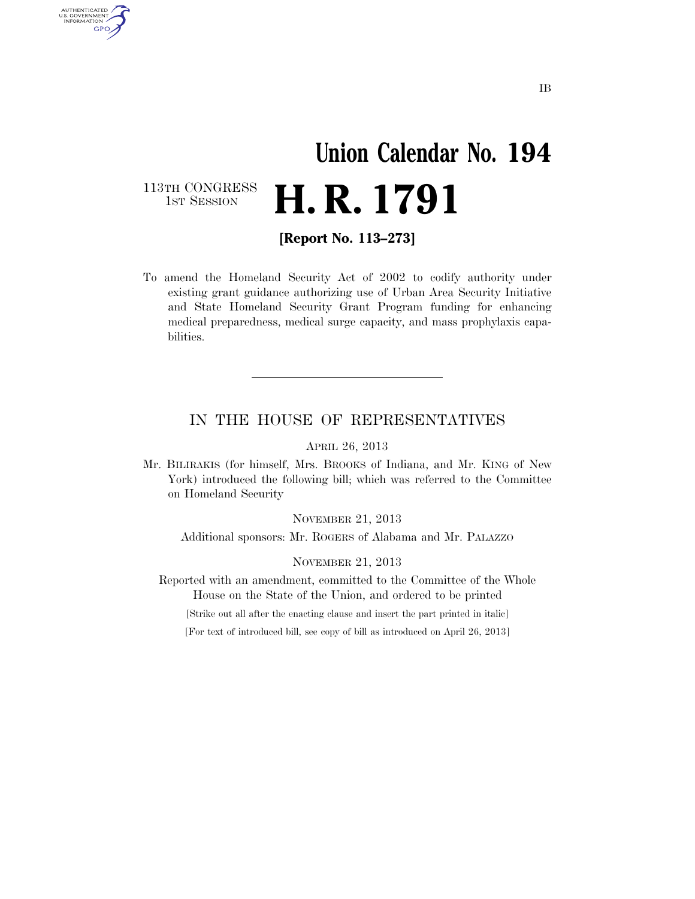### **Union Calendar No. 194 H. R. 1791**

113TH CONGRESS<br>1st Session

AUTHENTICATED<br>U.S. GOVERNMENT<br>INFORMATION GPO

**[Report No. 113–273]** 

To amend the Homeland Security Act of 2002 to codify authority under existing grant guidance authorizing use of Urban Area Security Initiative and State Homeland Security Grant Program funding for enhancing medical preparedness, medical surge capacity, and mass prophylaxis capabilities.

#### IN THE HOUSE OF REPRESENTATIVES

APRIL 26, 2013

Mr. BILIRAKIS (for himself, Mrs. BROOKS of Indiana, and Mr. KING of New York) introduced the following bill; which was referred to the Committee on Homeland Security

NOVEMBER 21, 2013

Additional sponsors: Mr. ROGERS of Alabama and Mr. PALAZZO

NOVEMBER 21, 2013

Reported with an amendment, committed to the Committee of the Whole House on the State of the Union, and ordered to be printed

[Strike out all after the enacting clause and insert the part printed in italic]

[For text of introduced bill, see copy of bill as introduced on April 26, 2013]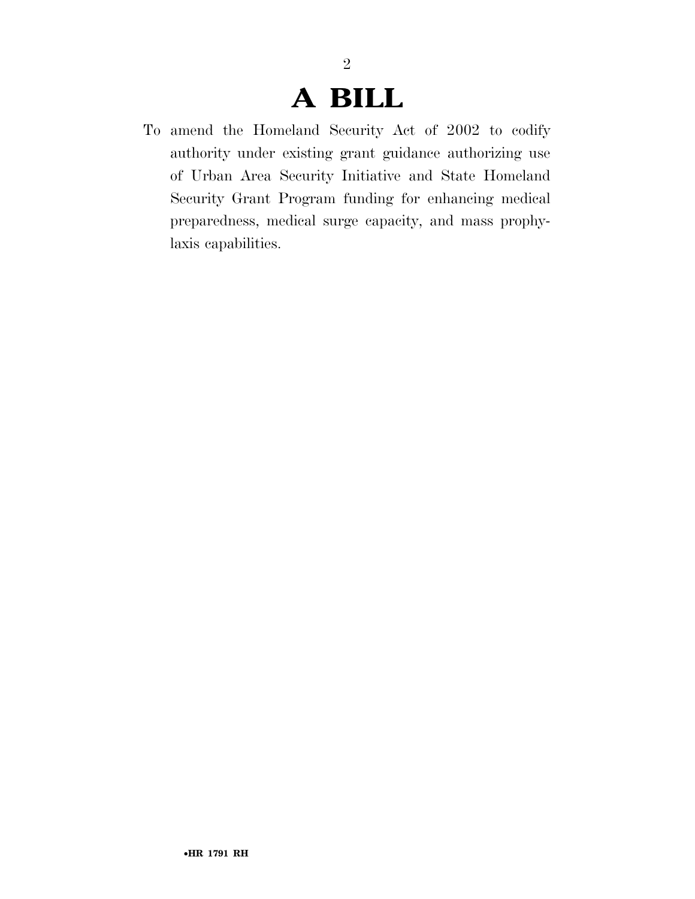### **A BILL**

2

To amend the Homeland Security Act of 2002 to codify authority under existing grant guidance authorizing use of Urban Area Security Initiative and State Homeland Security Grant Program funding for enhancing medical preparedness, medical surge capacity, and mass prophylaxis capabilities.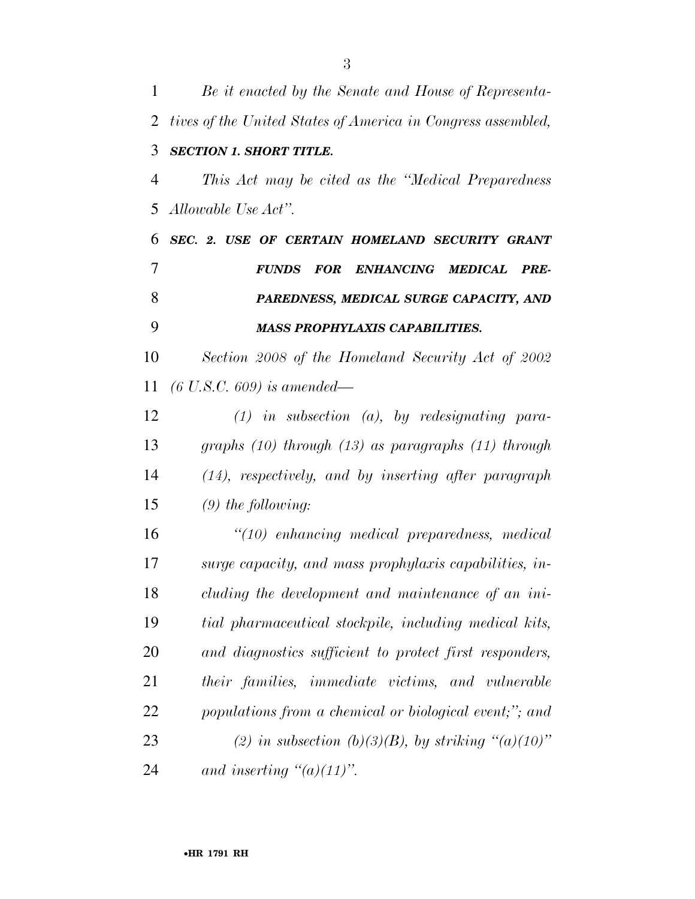| $\mathbf{1}$ | Be it enacted by the Senate and House of Representa-         |
|--------------|--------------------------------------------------------------|
| 2            | tives of the United States of America in Congress assembled, |
| 3            | <b>SECTION 1. SHORT TITLE.</b>                               |
| 4            | This Act may be cited as the "Medical Preparedness"          |
| 5            | Allowable Use Act".                                          |
| 6            | SEC. 2. USE OF CERTAIN HOMELAND SECURITY GRANT               |
| 7            | FOR ENHANCING MEDICAL PRE-<br><b>FUNDS</b>                   |
| 8            | PAREDNESS, MEDICAL SURGE CAPACITY, AND                       |
| 9            | <b>MASS PROPHYLAXIS CAPABILITIES.</b>                        |
| 10           | Section 2008 of the Homeland Security Act of 2002            |
| 11           | $(6 \text{ U.S.C. } 609) \text{ is amended}$                 |
| 12           | $(1)$ in subsection $(a)$ , by redesignating para-           |
| 13           | graphs $(10)$ through $(13)$ as paragraphs $(11)$ through    |
| 14           | $(14)$ , respectively, and by inserting after paragraph      |
| 15           | $(9)$ the following:                                         |
| 16           | "(10) enhancing medical preparedness, medical                |
| 17           | surge capacity, and mass prophylaxis capabilities, in-       |
| 18           | cluding the development and maintenance of an ini-           |
| 19           | tial pharmaceutical stockpile, including medical kits,       |
| 20           | and diagnostics sufficient to protect first responders,      |
| 21           | their families, immediate victims, and vulnerable            |
| 22           | populations from a chemical or biological event;"; and       |
| 23           | (2) in subsection (b)(3)(B), by striking "(a)(10)"           |
| 24           | and inserting $\degree(a)(11)$ ".                            |